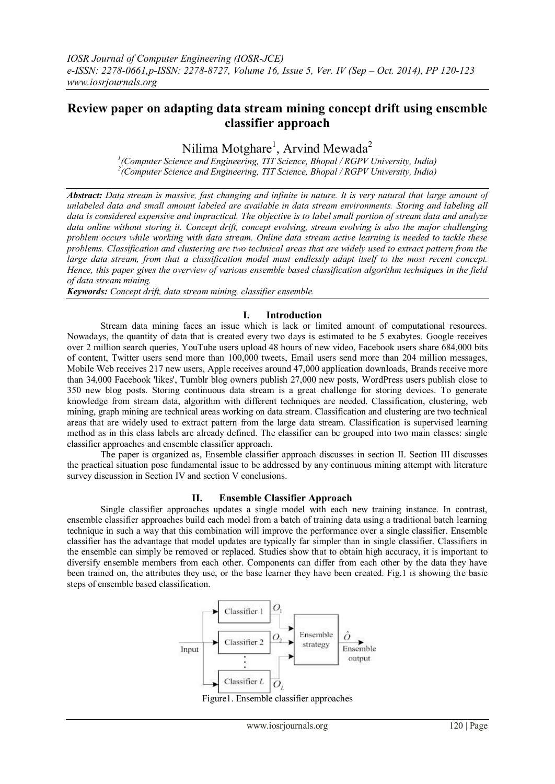# **Review paper on adapting data stream mining concept drift using ensemble classifier approach**

Nilima Motghare<sup>1</sup>, Arvind Mewada<sup>2</sup>

<sup>1</sup> (Computer Science and Engineering, TIT Science, Bhopal / RGPV University, India) *2 (Computer Science and Engineering, TIT Science, Bhopal / RGPV University, India)*

*Abstract: Data stream is massive, fast changing and infinite in nature. It is very natural that large amount of unlabeled data and small amount labeled are available in data stream environments. Storing and labeling all data is considered expensive and impractical. The objective is to label small portion of stream data and analyze data online without storing it. Concept drift, concept evolving, stream evolving is also the major challenging problem occurs while working with data stream. Online data stream active learning is needed to tackle these problems. Classification and clustering are two technical areas that are widely used to extract pattern from the large data stream, from that a classification model must endlessly adapt itself to the most recent concept. Hence, this paper gives the overview of various ensemble based classification algorithm techniques in the field of data stream mining.*

*Keywords: Concept drift, data stream mining, classifier ensemble.*

## **I. Introduction**

Stream data mining faces an issue which is lack or limited amount of computational resources. Nowadays, the quantity of data that is created every two days is estimated to be 5 exabytes. Google receives over 2 million search queries, YouTube users upload 48 hours of new video, Facebook users share 684,000 bits of content, Twitter users send more than 100,000 tweets, Email users send more than 204 million messages, Mobile Web receives 217 new users, Apple receives around 47,000 application downloads, Brands receive more than 34,000 Facebook 'likes', Tumblr blog owners publish 27,000 new posts, WordPress users publish close to 350 new blog posts. Storing continuous data stream is a great challenge for storing devices. To generate knowledge from stream data, algorithm with different techniques are needed. Classification, clustering, web mining, graph mining are technical areas working on data stream. Classification and clustering are two technical areas that are widely used to extract pattern from the large data stream. Classification is supervised learning method as in this class labels are already defined. The classifier can be grouped into two main classes: single classifier approaches and ensemble classifier approach.

The paper is organized as, Ensemble classifier approach discusses in section II. Section III discusses the practical situation pose fundamental issue to be addressed by any continuous mining attempt with literature survey discussion in Section IV and section V conclusions.

## **II. Ensemble Classifier Approach**

Single classifier approaches updates a single model with each new training instance. In contrast, ensemble classifier approaches build each model from a batch of training data using a traditional batch learning technique in such a way that this combination will improve the performance over a single classifier. Ensemble classifier has the advantage that model updates are typically far simpler than in single classifier. Classifiers in the ensemble can simply be removed or replaced. Studies show that to obtain high accuracy, it is important to diversify ensemble members from each other. Components can differ from each other by the data they have been trained on, the attributes they use, or the base learner they have been created. Fig.1 is showing the basic steps of ensemble based classification.



Figure1. Ensemble classifier approaches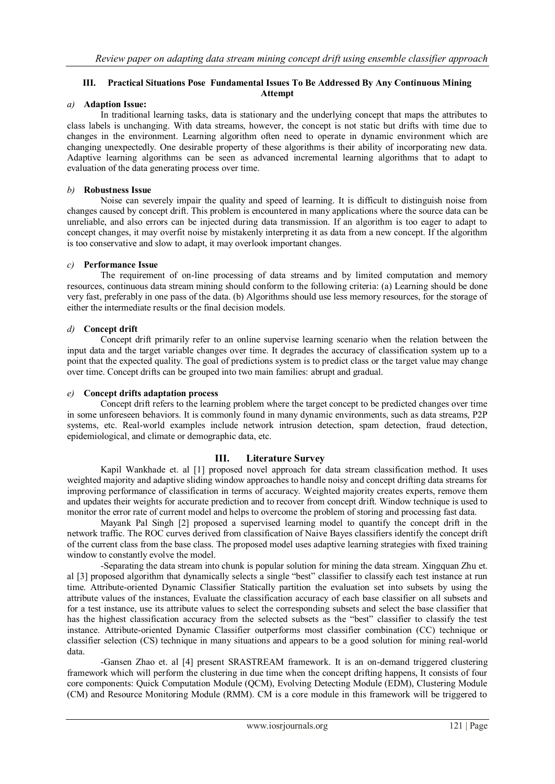#### **III. Practical Situations Pose Fundamental Issues To Be Addressed By Any Continuous Mining Attempt**

#### *a)* **Adaption Issue:**

In traditional learning tasks, data is stationary and the underlying concept that maps the attributes to class labels is unchanging. With data streams, however, the concept is not static but drifts with time due to changes in the environment. Learning algorithm often need to operate in dynamic environment which are changing unexpectedly. One desirable property of these algorithms is their ability of incorporating new data. Adaptive learning algorithms can be seen as advanced incremental learning algorithms that to adapt to evaluation of the data generating process over time.

#### *b)* **Robustness Issue**

Noise can severely impair the quality and speed of learning. It is difficult to distinguish noise from changes caused by concept drift. This problem is encountered in many applications where the source data can be unreliable, and also errors can be injected during data transmission. If an algorithm is too eager to adapt to concept changes, it may overfit noise by mistakenly interpreting it as data from a new concept. If the algorithm is too conservative and slow to adapt, it may overlook important changes.

#### *c)* **Performance Issue**

The requirement of on-line processing of data streams and by limited computation and memory resources, continuous data stream mining should conform to the following criteria: (a) Learning should be done very fast, preferably in one pass of the data. (b) Algorithms should use less memory resources, for the storage of either the intermediate results or the final decision models.

## *d)* **Concept drift**

Concept drift primarily refer to an online supervise learning scenario when the relation between the input data and the target variable changes over time. It degrades the accuracy of classification system up to a point that the expected quality. The goal of predictions system is to predict class or the target value may change over time. Concept drifts can be grouped into two main families: abrupt and gradual.

#### *e)* **Concept drifts adaptation process**

Concept drift refers to the learning problem where the target concept to be predicted changes over time in some unforeseen behaviors. It is commonly found in many dynamic environments, such as data streams, P2P systems, etc. Real-world examples include network intrusion detection, spam detection, fraud detection, epidemiological, and climate or demographic data, etc.

## **III. Literature Survey**

Kapil Wankhade et. al [1] proposed novel approach for data stream classification method. It uses weighted majority and adaptive sliding window approaches to handle noisy and concept drifting data streams for improving performance of classification in terms of accuracy. Weighted majority creates experts, remove them and updates their weights for accurate prediction and to recover from concept drift. Window technique is used to monitor the error rate of current model and helps to overcome the problem of storing and processing fast data.

Mayank Pal Singh [2] proposed a supervised learning model to quantify the concept drift in the network traffic. The ROC curves derived from classification of Naive Bayes classifiers identify the concept drift of the current class from the base class. The proposed model uses adaptive learning strategies with fixed training window to constantly evolve the model.

-Separating the data stream into chunk is popular solution for mining the data stream. Xingquan Zhu et. al [3] proposed algorithm that dynamically selects a single "best" classifier to classify each test instance at run time. Attribute-oriented Dynamic Classifier Statically partition the evaluation set into subsets by using the attribute values of the instances, Evaluate the classification accuracy of each base classifier on all subsets and for a test instance, use its attribute values to select the corresponding subsets and select the base classifier that has the highest classification accuracy from the selected subsets as the "best" classifier to classify the test instance. Attribute-oriented Dynamic Classifier outperforms most classifier combination (CC) technique or classifier selection (CS) technique in many situations and appears to be a good solution for mining real-world data.

-Gansen Zhao et. al [4] present SRASTREAM framework. It is an on-demand triggered clustering framework which will perform the clustering in due time when the concept drifting happens, It consists of four core components: Quick Computation Module (QCM), Evolving Detecting Module (EDM), Clustering Module (CM) and Resource Monitoring Module (RMM). CM is a core module in this framework will be triggered to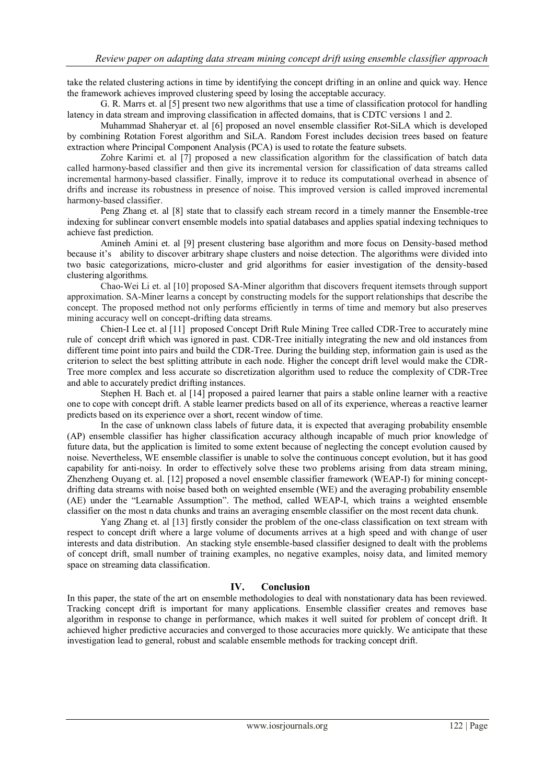take the related clustering actions in time by identifying the concept drifting in an online and quick way. Hence the framework achieves improved clustering speed by losing the acceptable accuracy.

G. R. Marrs et. al [5] present two new algorithms that use a time of classification protocol for handling latency in data stream and improving classification in affected domains, that is CDTC versions 1 and 2.

Muhammad Shaheryar et. al [6] proposed an novel ensemble classifier Rot-SiLA which is developed by combining Rotation Forest algorithm and SiLA. Random Forest includes decision trees based on feature extraction where Principal Component Analysis (PCA) is used to rotate the feature subsets.

Zohre Karimi et. al [7] proposed a new classification algorithm for the classification of batch data called harmony-based classifier and then give its incremental version for classification of data streams called incremental harmony-based classifier. Finally, improve it to reduce its computational overhead in absence of drifts and increase its robustness in presence of noise. This improved version is called improved incremental harmony-based classifier.

Peng Zhang et. al [8] state that to classify each stream record in a timely manner the Ensemble-tree indexing for sublinear convert ensemble models into spatial databases and applies spatial indexing techniques to achieve fast prediction.

Amineh Amini et. al [9] present clustering base algorithm and more focus on Density-based method because it's ability to discover arbitrary shape clusters and noise detection. The algorithms were divided into two basic categorizations, micro-cluster and grid algorithms for easier investigation of the density-based clustering algorithms.

Chao-Wei Li et. al [10] proposed SA-Miner algorithm that discovers frequent itemsets through support approximation. SA-Miner learns a concept by constructing models for the support relationships that describe the concept. The proposed method not only performs efficiently in terms of time and memory but also preserves mining accuracy well on concept-drifting data streams.

Chien-I Lee et. al [11] proposed Concept Drift Rule Mining Tree called CDR-Tree to accurately mine rule of concept drift which was ignored in past. CDR-Tree initially integrating the new and old instances from different time point into pairs and build the CDR-Tree. During the building step, information gain is used as the criterion to select the best splitting attribute in each node. Higher the concept drift level would make the CDR-Tree more complex and less accurate so discretization algorithm used to reduce the complexity of CDR-Tree and able to accurately predict drifting instances.

Stephen H. Bach et. al [14] proposed a paired learner that pairs a stable online learner with a reactive one to cope with concept drift. A stable learner predicts based on all of its experience, whereas a reactive learner predicts based on its experience over a short, recent window of time.

In the case of unknown class labels of future data, it is expected that averaging probability ensemble (AP) ensemble classifier has higher classification accuracy although incapable of much prior knowledge of future data, but the application is limited to some extent because of neglecting the concept evolution caused by noise. Nevertheless, WE ensemble classifier is unable to solve the continuous concept evolution, but it has good capability for anti-noisy. In order to effectively solve these two problems arising from data stream mining, Zhenzheng Ouyang et. al. [12] proposed a novel ensemble classifier framework (WEAP-I) for mining conceptdrifting data streams with noise based both on weighted ensemble (WE) and the averaging probability ensemble (AE) under the "Learnable Assumption". The method, called WEAP-I, which trains a weighted ensemble classifier on the most n data chunks and trains an averaging ensemble classifier on the most recent data chunk.

Yang Zhang et. al [13] firstly consider the problem of the one-class classification on text stream with respect to concept drift where a large volume of documents arrives at a high speed and with change of user interests and data distribution. An stacking style ensemble-based classifier designed to dealt with the problems of concept drift, small number of training examples, no negative examples, noisy data, and limited memory space on streaming data classification.

## **IV. Conclusion**

In this paper, the state of the art on ensemble methodologies to deal with nonstationary data has been reviewed. Tracking concept drift is important for many applications. Ensemble classifier creates and removes base algorithm in response to change in performance, which makes it well suited for problem of concept drift. It achieved higher predictive accuracies and converged to those accuracies more quickly. We anticipate that these investigation lead to general, robust and scalable ensemble methods for tracking concept drift.